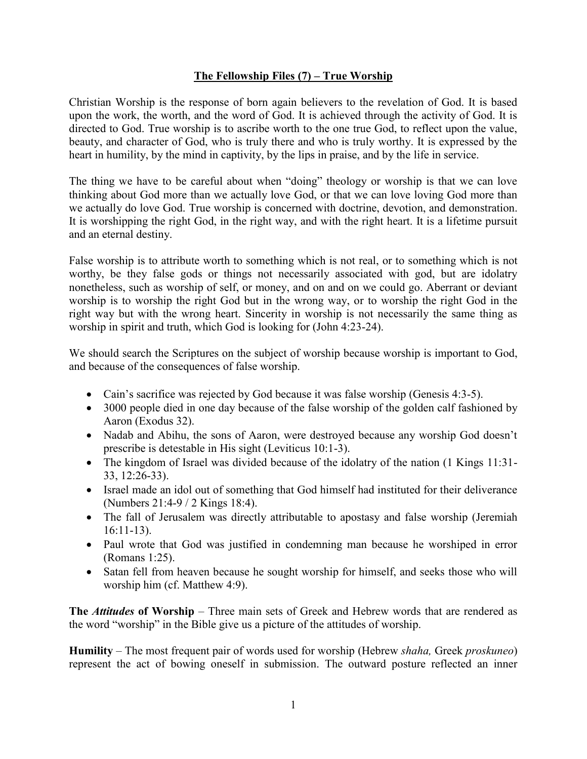## **The Fellowship Files (7) – True Worship**

Christian Worship is the response of born again believers to the revelation of God. It is based upon the work, the worth, and the word of God. It is achieved through the activity of God. It is directed to God. True worship is to ascribe worth to the one true God, to reflect upon the value, beauty, and character of God, who is truly there and who is truly worthy. It is expressed by the heart in humility, by the mind in captivity, by the lips in praise, and by the life in service.

The thing we have to be careful about when "doing" theology or worship is that we can love thinking about God more than we actually love God, or that we can love loving God more than we actually do love God. True worship is concerned with doctrine, devotion, and demonstration. It is worshipping the right God, in the right way, and with the right heart. It is a lifetime pursuit and an eternal destiny.

False worship is to attribute worth to something which is not real, or to something which is not worthy, be they false gods or things not necessarily associated with god, but are idolatry nonetheless, such as worship of self, or money, and on and on we could go. Aberrant or deviant worship is to worship the right God but in the wrong way, or to worship the right God in the right way but with the wrong heart. Sincerity in worship is not necessarily the same thing as worship in spirit and truth, which God is looking for (John 4:23-24).

We should search the Scriptures on the subject of worship because worship is important to God, and because of the consequences of false worship.

- Cain's sacrifice was rejected by God because it was false worship (Genesis 4:3-5).
- 3000 people died in one day because of the false worship of the golden calf fashioned by Aaron (Exodus 32).
- Nadab and Abihu, the sons of Aaron, were destroyed because any worship God doesn't prescribe is detestable in His sight (Leviticus 10:1-3).
- The kingdom of Israel was divided because of the idolatry of the nation (1 Kings 11:31-33, 12:26-33).
- Israel made an idol out of something that God himself had instituted for their deliverance (Numbers 21:4-9 / 2 Kings 18:4).
- The fall of Jerusalem was directly attributable to apostasy and false worship (Jeremiah 16:11-13).
- Paul wrote that God was justified in condemning man because he worshiped in error (Romans 1:25).
- Satan fell from heaven because he sought worship for himself, and seeks those who will worship him (cf. Matthew 4:9).

**The** *Attitudes* **of Worship** – Three main sets of Greek and Hebrew words that are rendered as the word "worship" in the Bible give us a picture of the attitudes of worship.

**Humility** – The most frequent pair of words used for worship (Hebrew *shaha,* Greek *proskuneo*) represent the act of bowing oneself in submission. The outward posture reflected an inner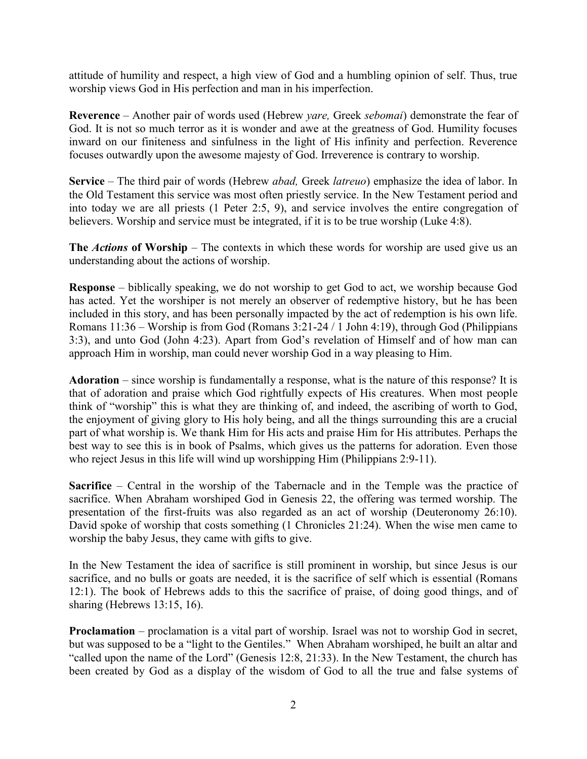attitude of humility and respect, a high view of God and a humbling opinion of self. Thus, true worship views God in His perfection and man in his imperfection.

**Reverence** – Another pair of words used (Hebrew *yare,* Greek *sebomai*) demonstrate the fear of God. It is not so much terror as it is wonder and awe at the greatness of God. Humility focuses inward on our finiteness and sinfulness in the light of His infinity and perfection. Reverence focuses outwardly upon the awesome majesty of God. Irreverence is contrary to worship.

**Service** – The third pair of words (Hebrew *abad,* Greek *latreuo*) emphasize the idea of labor. In the Old Testament this service was most often priestly service. In the New Testament period and into today we are all priests (1 Peter 2:5, 9), and service involves the entire congregation of believers. Worship and service must be integrated, if it is to be true worship (Luke 4:8).

**The** *Actions* **of Worship** – The contexts in which these words for worship are used give us an understanding about the actions of worship.

**Response** – biblically speaking, we do not worship to get God to act, we worship because God has acted. Yet the worshiper is not merely an observer of redemptive history, but he has been included in this story, and has been personally impacted by the act of redemption is his own life. Romans 11:36 – Worship is from God (Romans 3:21-24 / 1 John 4:19), through God (Philippians 3:3), and unto God (John 4:23). Apart from God's revelation of Himself and of how man can approach Him in worship, man could never worship God in a way pleasing to Him.

**Adoration** – since worship is fundamentally a response, what is the nature of this response? It is that of adoration and praise which God rightfully expects of His creatures. When most people think of "worship" this is what they are thinking of, and indeed, the ascribing of worth to God, the enjoyment of giving glory to His holy being, and all the things surrounding this are a crucial part of what worship is. We thank Him for His acts and praise Him for His attributes. Perhaps the best way to see this is in book of Psalms, which gives us the patterns for adoration. Even those who reject Jesus in this life will wind up worshipping Him (Philippians 2:9-11).

**Sacrifice** – Central in the worship of the Tabernacle and in the Temple was the practice of sacrifice. When Abraham worshiped God in Genesis 22, the offering was termed worship. The presentation of the first-fruits was also regarded as an act of worship (Deuteronomy 26:10). David spoke of worship that costs something (1 Chronicles 21:24). When the wise men came to worship the baby Jesus, they came with gifts to give.

In the New Testament the idea of sacrifice is still prominent in worship, but since Jesus is our sacrifice, and no bulls or goats are needed, it is the sacrifice of self which is essential (Romans 12:1). The book of Hebrews adds to this the sacrifice of praise, of doing good things, and of sharing (Hebrews 13:15, 16).

**Proclamation** – proclamation is a vital part of worship. Israel was not to worship God in secret, but was supposed to be a "light to the Gentiles." When Abraham worshiped, he built an altar and "called upon the name of the Lord" (Genesis 12:8, 21:33). In the New Testament, the church has been created by God as a display of the wisdom of God to all the true and false systems of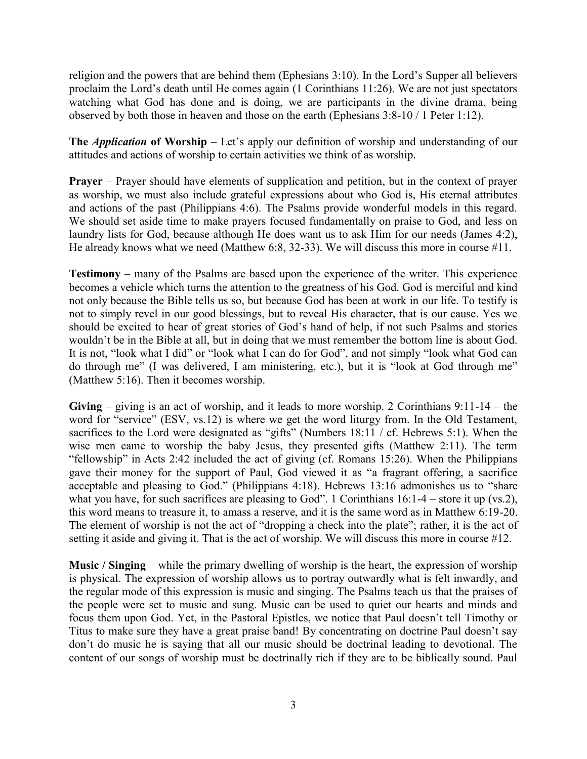religion and the powers that are behind them (Ephesians 3:10). In the Lord's Supper all believers proclaim the Lord's death until He comes again (1 Corinthians 11:26). We are not just spectators watching what God has done and is doing, we are participants in the divine drama, being observed by both those in heaven and those on the earth (Ephesians 3:8-10 / 1 Peter 1:12).

**The** *Application* **of Worship** – Let's apply our definition of worship and understanding of our attitudes and actions of worship to certain activities we think of as worship.

**Prayer** – Prayer should have elements of supplication and petition, but in the context of prayer as worship, we must also include grateful expressions about who God is, His eternal attributes and actions of the past (Philippians 4:6). The Psalms provide wonderful models in this regard. We should set aside time to make prayers focused fundamentally on praise to God, and less on laundry lists for God, because although He does want us to ask Him for our needs (James 4:2), He already knows what we need (Matthew 6:8, 32-33). We will discuss this more in course #11.

**Testimony** – many of the Psalms are based upon the experience of the writer. This experience becomes a vehicle which turns the attention to the greatness of his God. God is merciful and kind not only because the Bible tells us so, but because God has been at work in our life. To testify is not to simply revel in our good blessings, but to reveal His character, that is our cause. Yes we should be excited to hear of great stories of God's hand of help, if not such Psalms and stories wouldn't be in the Bible at all, but in doing that we must remember the bottom line is about God. It is not, "look what I did" or "look what I can do for God", and not simply "look what God can do through me" (I was delivered, I am ministering, etc.), but it is "look at God through me" (Matthew 5:16). Then it becomes worship.

**Giving** – giving is an act of worship, and it leads to more worship. 2 Corinthians 9:11-14 – the word for "service" (ESV, vs.12) is where we get the word liturgy from. In the Old Testament, sacrifices to the Lord were designated as "gifts" (Numbers 18:11 / cf. Hebrews 5:1). When the wise men came to worship the baby Jesus, they presented gifts (Matthew 2:11). The term "fellowship" in Acts 2:42 included the act of giving (cf. Romans 15:26). When the Philippians gave their money for the support of Paul, God viewed it as "a fragrant offering, a sacrifice acceptable and pleasing to God." (Philippians 4:18). Hebrews 13:16 admonishes us to "share what you have, for such sacrifices are pleasing to God". 1 Corinthians  $16:1-4$  – store it up (vs.2), this word means to treasure it, to amass a reserve, and it is the same word as in Matthew 6:19-20. The element of worship is not the act of "dropping a check into the plate"; rather, it is the act of setting it aside and giving it. That is the act of worship. We will discuss this more in course #12.

**Music / Singing** – while the primary dwelling of worship is the heart, the expression of worship is physical. The expression of worship allows us to portray outwardly what is felt inwardly, and the regular mode of this expression is music and singing. The Psalms teach us that the praises of the people were set to music and sung. Music can be used to quiet our hearts and minds and focus them upon God. Yet, in the Pastoral Epistles, we notice that Paul doesn't tell Timothy or Titus to make sure they have a great praise band! By concentrating on doctrine Paul doesn't say don't do music he is saying that all our music should be doctrinal leading to devotional. The content of our songs of worship must be doctrinally rich if they are to be biblically sound. Paul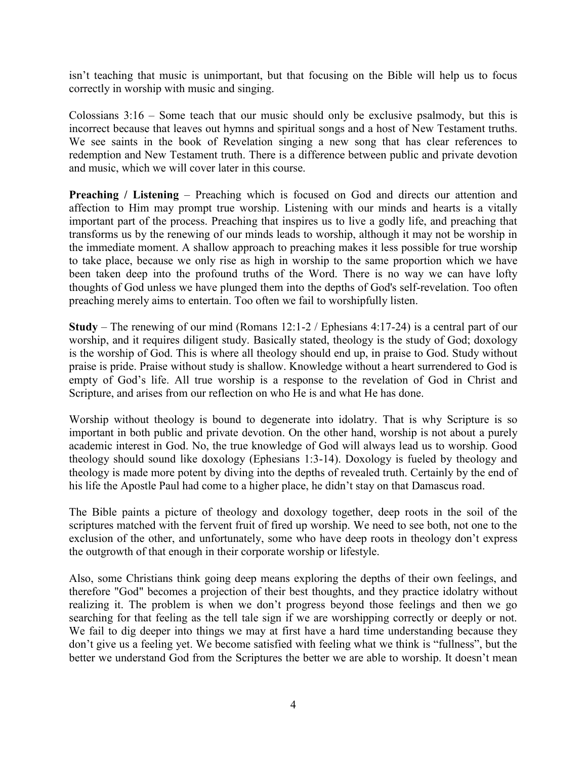isn't teaching that music is unimportant, but that focusing on the Bible will help us to focus correctly in worship with music and singing.

Colossians 3:16 – Some teach that our music should only be exclusive psalmody, but this is incorrect because that leaves out hymns and spiritual songs and a host of New Testament truths. We see saints in the book of Revelation singing a new song that has clear references to redemption and New Testament truth. There is a difference between public and private devotion and music, which we will cover later in this course.

**Preaching / Listening – Preaching which is focused on God and directs our attention and** affection to Him may prompt true worship. Listening with our minds and hearts is a vitally important part of the process. Preaching that inspires us to live a godly life, and preaching that transforms us by the renewing of our minds leads to worship, although it may not be worship in the immediate moment. A shallow approach to preaching makes it less possible for true worship to take place, because we only rise as high in worship to the same proportion which we have been taken deep into the profound truths of the Word. There is no way we can have lofty thoughts of God unless we have plunged them into the depths of God's self-revelation. Too often preaching merely aims to entertain. Too often we fail to worshipfully listen.

**Study** – The renewing of our mind (Romans 12:1-2 / Ephesians 4:17-24) is a central part of our worship, and it requires diligent study. Basically stated, theology is the study of God; doxology is the worship of God. This is where all theology should end up, in praise to God. Study without praise is pride. Praise without study is shallow. Knowledge without a heart surrendered to God is empty of God's life. All true worship is a response to the revelation of God in Christ and Scripture, and arises from our reflection on who He is and what He has done.

Worship without theology is bound to degenerate into idolatry. That is why Scripture is so important in both public and private devotion. On the other hand, worship is not about a purely academic interest in God. No, the true knowledge of God will always lead us to worship. Good theology should sound like doxology (Ephesians 1:3-14). Doxology is fueled by theology and theology is made more potent by diving into the depths of revealed truth. Certainly by the end of his life the Apostle Paul had come to a higher place, he didn't stay on that Damascus road.

The Bible paints a picture of theology and doxology together, deep roots in the soil of the scriptures matched with the fervent fruit of fired up worship. We need to see both, not one to the exclusion of the other, and unfortunately, some who have deep roots in theology don't express the outgrowth of that enough in their corporate worship or lifestyle.

Also, some Christians think going deep means exploring the depths of their own feelings, and therefore "God" becomes a projection of their best thoughts, and they practice idolatry without realizing it. The problem is when we don't progress beyond those feelings and then we go searching for that feeling as the tell tale sign if we are worshipping correctly or deeply or not. We fail to dig deeper into things we may at first have a hard time understanding because they don't give us a feeling yet. We become satisfied with feeling what we think is "fullness", but the better we understand God from the Scriptures the better we are able to worship. It doesn't mean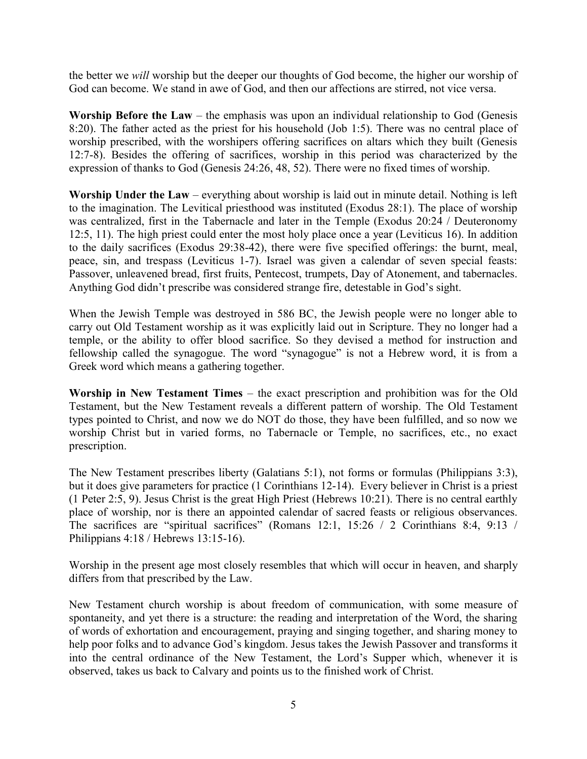the better we *will* worship but the deeper our thoughts of God become, the higher our worship of God can become. We stand in awe of God, and then our affections are stirred, not vice versa.

**Worship Before the Law** – the emphasis was upon an individual relationship to God (Genesis 8:20). The father acted as the priest for his household (Job 1:5). There was no central place of worship prescribed, with the worshipers offering sacrifices on altars which they built (Genesis 12:7-8). Besides the offering of sacrifices, worship in this period was characterized by the expression of thanks to God (Genesis 24:26, 48, 52). There were no fixed times of worship.

**Worship Under the Law** – everything about worship is laid out in minute detail. Nothing is left to the imagination. The Levitical priesthood was instituted (Exodus 28:1). The place of worship was centralized, first in the Tabernacle and later in the Temple (Exodus 20:24 / Deuteronomy 12:5, 11). The high priest could enter the most holy place once a year (Leviticus 16). In addition to the daily sacrifices (Exodus 29:38-42), there were five specified offerings: the burnt, meal, peace, sin, and trespass (Leviticus 1-7). Israel was given a calendar of seven special feasts: Passover, unleavened bread, first fruits, Pentecost, trumpets, Day of Atonement, and tabernacles. Anything God didn't prescribe was considered strange fire, detestable in God's sight.

When the Jewish Temple was destroyed in 586 BC, the Jewish people were no longer able to carry out Old Testament worship as it was explicitly laid out in Scripture. They no longer had a temple, or the ability to offer blood sacrifice. So they devised a method for instruction and fellowship called the synagogue. The word "synagogue" is not a Hebrew word, it is from a Greek word which means a gathering together.

**Worship in New Testament Times** – the exact prescription and prohibition was for the Old Testament, but the New Testament reveals a different pattern of worship. The Old Testament types pointed to Christ, and now we do NOT do those, they have been fulfilled, and so now we worship Christ but in varied forms, no Tabernacle or Temple, no sacrifices, etc., no exact prescription.

The New Testament prescribes liberty (Galatians 5:1), not forms or formulas (Philippians 3:3), but it does give parameters for practice (1 Corinthians 12-14). Every believer in Christ is a priest (1 Peter 2:5, 9). Jesus Christ is the great High Priest (Hebrews 10:21). There is no central earthly place of worship, nor is there an appointed calendar of sacred feasts or religious observances. The sacrifices are "spiritual sacrifices" (Romans 12:1, 15:26 / 2 Corinthians 8:4, 9:13 / Philippians 4:18 / Hebrews 13:15-16).

Worship in the present age most closely resembles that which will occur in heaven, and sharply differs from that prescribed by the Law.

New Testament church worship is about freedom of communication, with some measure of spontaneity, and yet there is a structure: the reading and interpretation of the Word, the sharing of words of exhortation and encouragement, praying and singing together, and sharing money to help poor folks and to advance God's kingdom. Jesus takes the Jewish Passover and transforms it into the central ordinance of the New Testament, the Lord's Supper which, whenever it is observed, takes us back to Calvary and points us to the finished work of Christ.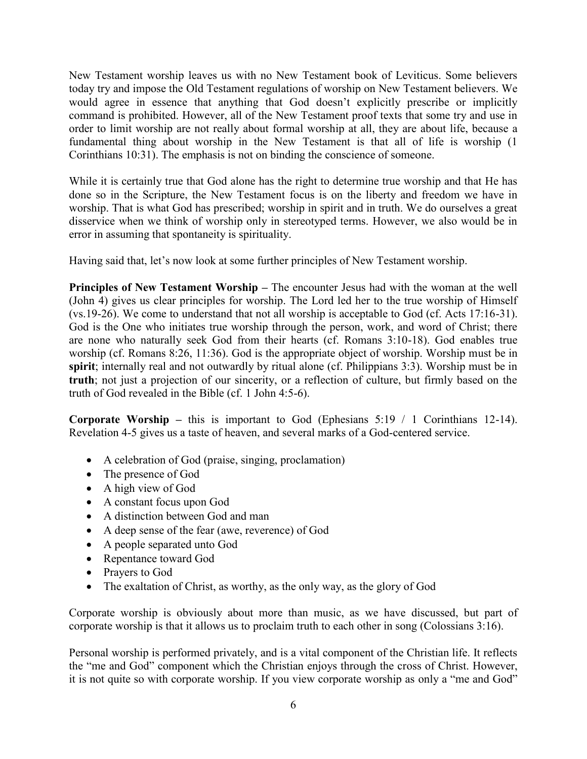New Testament worship leaves us with no New Testament book of Leviticus. Some believers today try and impose the Old Testament regulations of worship on New Testament believers. We would agree in essence that anything that God doesn't explicitly prescribe or implicitly command is prohibited. However, all of the New Testament proof texts that some try and use in order to limit worship are not really about formal worship at all, they are about life, because a fundamental thing about worship in the New Testament is that all of life is worship (1 Corinthians 10:31). The emphasis is not on binding the conscience of someone.

While it is certainly true that God alone has the right to determine true worship and that He has done so in the Scripture, the New Testament focus is on the liberty and freedom we have in worship. That is what God has prescribed; worship in spirit and in truth. We do ourselves a great disservice when we think of worship only in stereotyped terms. However, we also would be in error in assuming that spontaneity is spirituality.

Having said that, let's now look at some further principles of New Testament worship.

**Principles of New Testament Worship –** The encounter Jesus had with the woman at the well (John 4) gives us clear principles for worship. The Lord led her to the true worship of Himself (vs.19-26). We come to understand that not all worship is acceptable to God (cf. Acts 17:16-31). God is the One who initiates true worship through the person, work, and word of Christ; there are none who naturally seek God from their hearts (cf. Romans 3:10-18). God enables true worship (cf. Romans 8:26, 11:36). God is the appropriate object of worship. Worship must be in **spirit**; internally real and not outwardly by ritual alone (cf. Philippians 3:3). Worship must be in **truth**; not just a projection of our sincerity, or a reflection of culture, but firmly based on the truth of God revealed in the Bible (cf. 1 John 4:5-6).

**Corporate Worship –** this is important to God (Ephesians 5:19 / 1 Corinthians 12-14). Revelation 4-5 gives us a taste of heaven, and several marks of a God-centered service.

- A celebration of God (praise, singing, proclamation)
- The presence of God
- A high view of God
- A constant focus upon God
- A distinction between God and man
- A deep sense of the fear (awe, reverence) of God
- A people separated unto God
- Repentance toward God
- Prayers to God
- The exaltation of Christ, as worthy, as the only way, as the glory of God

Corporate worship is obviously about more than music, as we have discussed, but part of corporate worship is that it allows us to proclaim truth to each other in song (Colossians 3:16).

Personal worship is performed privately, and is a vital component of the Christian life. It reflects the "me and God" component which the Christian enjoys through the cross of Christ. However, it is not quite so with corporate worship. If you view corporate worship as only a "me and God"